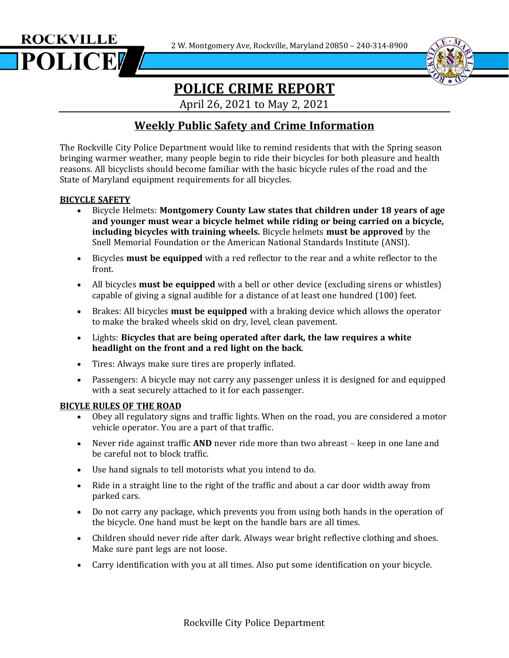2 W. Montgomery Ave, Rockville, Maryland 20850 – 240-314-8900





# **POLICE CRIME REPORT**

April 26, 2021 to May 2, 2021

## **Weekly Public Safety and Crime Information**

The Rockville City Police Department would like to remind residents that with the Spring season bringing warmer weather, many people begin to ride their bicycles for both pleasure and health reasons. All bicyclists should become familiar with the basic bicycle rules of the road and the State of Maryland equipment requirements for all bicycles.

### **BICYCLE SAFETY**

- Bicycle Helmets: **Montgomery County Law states that children under 18 years of age and younger must wear a bicycle helmet while riding or being carried on a bicycle, including bicycles with training wheels.** Bicycle helmets **must be approved** by the Snell Memorial Foundation or the American National Standards Institute (ANSI).
- Bicycles **must be equipped** with a red reflector to the rear and a white reflector to the front.
- All bicycles **must be equipped** with a bell or other device (excluding sirens or whistles) capable of giving a signal audible for a distance of at least one hundred (100) feet.
- Brakes: All bicycles **must be equipped** with a braking device which allows the operator to make the braked wheels skid on dry, level, clean pavement.
- Lights: **Bicycles that are being operated after dark, the law requires a white headlight on the front and a red light on the back**.
- Tires: Always make sure tires are properly inflated.
- Passengers: A bicycle may not carry any passenger unless it is designed for and equipped with a seat securely attached to it for each passenger.

#### **BICYLE RULES OF THE ROAD**

- Obey all regulatory signs and traffic lights. When on the road, you are considered a motor vehicle operator. You are a part of that traffic.
- Never ride against traffic **AND** never ride more than two abreast keep in one lane and be careful not to block traffic.
- Use hand signals to tell motorists what you intend to do.
- Ride in a straight line to the right of the traffic and about a car door width away from parked cars.
- Do not carry any package, which prevents you from using both hands in the operation of the bicycle. One hand must be kept on the handle bars are all times.
- Children should never ride after dark. Always wear bright reflective clothing and shoes. Make sure pant legs are not loose.
- Carry identification with you at all times. Also put some identification on your bicycle.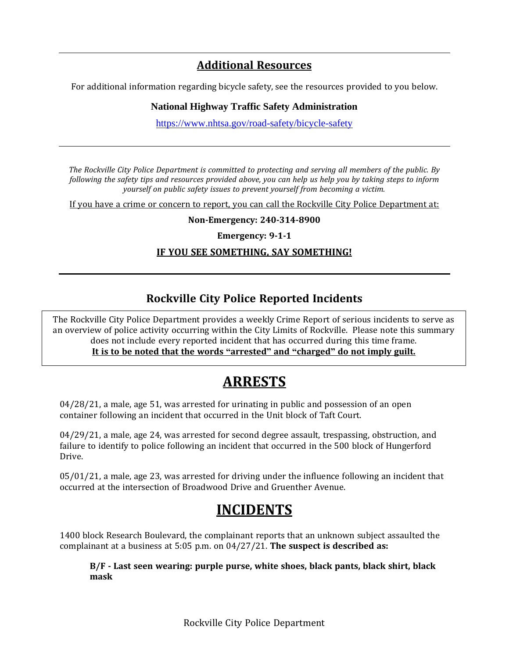## **Additional Resources**

For additional information regarding bicycle safety, see the resources provided to you below.

### **National Highway Traffic Safety Administration**

<https://www.nhtsa.gov/road-safety/bicycle-safety>

*The Rockville City Police Department is committed to protecting and serving all members of the public. By* following the safety tips and resources provided above, you can help us help you by taking steps to inform *yourself on public safety issues to prevent yourself from becoming a victim.*

If you have a crime or concern to report, you can call the Rockville City Police Department at:

**Non-Emergency: 240-314-8900**

**Emergency: 9-1-1**

### **IF YOU SEE SOMETHING, SAY SOMETHING!**

## **Rockville City Police Reported Incidents**

 $\overline{a}$ The Rockville City Police Department provides a weekly Crime Report of serious incidents to serve as an overview of police activity occurring within the City Limits of Rockville. Please note this summary does not include every reported incident that has occurred during this time frame. **It is to be noted that the words "arrested" and "charged" do not imply guilt.**

# **ARRESTS**

04/28/21, a male, age 51, was arrested for urinating in public and possession of an open container following an incident that occurred in the Unit block of Taft Court.

04/29/21, a male, age 24, was arrested for second degree assault, trespassing, obstruction, and failure to identify to police following an incident that occurred in the 500 block of Hungerford Drive.

05/01/21, a male, age 23, was arrested for driving under the influence following an incident that occurred at the intersection of Broadwood Drive and Gruenther Avenue.

# **INCIDENTS**

1400 block Research Boulevard, the complainant reports that an unknown subject assaulted the complainant at a business at 5:05 p.m. on 04/27/21. **The suspect is described as:**

**B/F - Last seen wearing: purple purse, white shoes, black pants, black shirt, black mask**